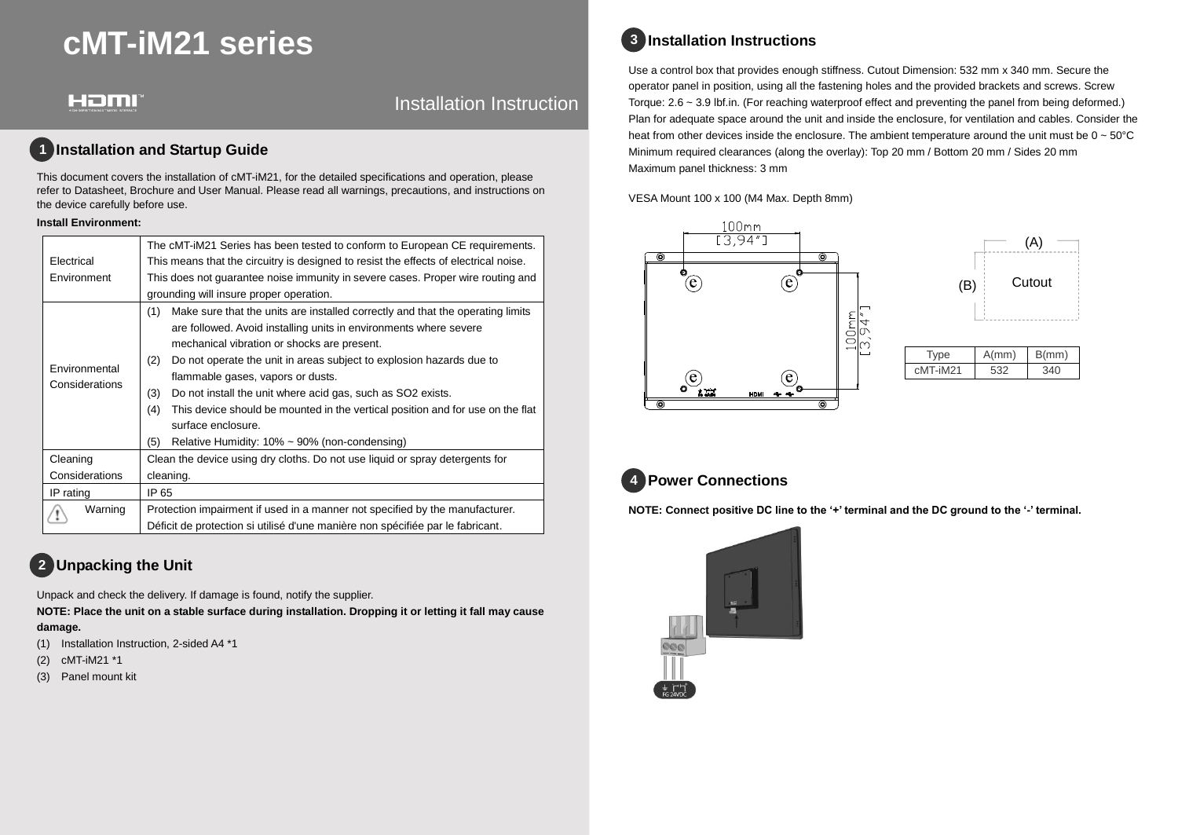# **cMT-iM21 series**

#### Homi

#### Installation Instruction

#### **1 Installation and Startup Guide**

This document covers the installation of cMT-iM21, for the detailed specifications and operation, please refer to Datasheet, Brochure and User Manual. Please read all warnings, precautions, and instructions on the device carefully before use.

#### **Install Environment:**

|                | The cMT-iM21 Series has been tested to conform to European CE requirements.           |  |  |  |
|----------------|---------------------------------------------------------------------------------------|--|--|--|
| Electrical     | This means that the circuitry is designed to resist the effects of electrical noise.  |  |  |  |
| Environment    | This does not guarantee noise immunity in severe cases. Proper wire routing and       |  |  |  |
|                | grounding will insure proper operation.                                               |  |  |  |
|                | Make sure that the units are installed correctly and that the operating limits<br>(1) |  |  |  |
|                | are followed. Avoid installing units in environments where severe                     |  |  |  |
|                | mechanical vibration or shocks are present.                                           |  |  |  |
| Environmental  | Do not operate the unit in areas subject to explosion hazards due to<br>(2)           |  |  |  |
| Considerations | flammable gases, vapors or dusts.                                                     |  |  |  |
|                | Do not install the unit where acid gas, such as SO2 exists.<br>(3)                    |  |  |  |
|                | This device should be mounted in the vertical position and for use on the flat<br>(4) |  |  |  |
|                | surface enclosure.                                                                    |  |  |  |
|                | (5)<br>Relative Humidity: $10\% \sim 90\%$ (non-condensing)                           |  |  |  |
| Cleaning       | Clean the device using dry cloths. Do not use liquid or spray detergents for          |  |  |  |
| Considerations | cleaning.                                                                             |  |  |  |
| IP rating      | IP 65                                                                                 |  |  |  |
| Warning        | Protection impairment if used in a manner not specified by the manufacturer.          |  |  |  |
|                | Déficit de protection si utilisé d'une manière non spécifiée par le fabricant.        |  |  |  |

# **Unpacking the Unit 2**

Unpack and check the delivery. If damage is found, notify the supplier.

**NOTE: Place the unit on a stable surface during installation. Dropping it or letting it fall may cause damage.**

- (1) Installation Instruction, 2-sided A4 \*1
- (2) cMT-iM21 \*1
- (3) Panel mount kit

# **Installation Instructions 3**

Use a control box that provides enough stiffness. Cutout Dimension: 532 mm x 340 mm. Secure the operator panel in position, using all the fastening holes and the provided brackets and screws. Screw Torque: 2.6 ~ 3.9 lbf.in. (For reaching waterproof effect and preventing the panel from being deformed.) Plan for adequate space around the unit and inside the enclosure, for ventilation and cables. Consider the heat from other devices inside the enclosure. The ambient temperature around the unit must be  $0 \sim 50^{\circ}$ C Minimum required clearances (along the overlay): Top 20 mm / Bottom 20 mm / Sides 20 mm Maximum panel thickness: 3 mm

VESA Mount 100 x 100 (M4 Max. Depth 8mm)





| <b>i</b> vpe | A/mm) | B/mm) |
|--------------|-------|-------|
| cMT-iM21     | 532   |       |

# **Power Connections 4**

**NOTE: Connect positive DC line to the '+' terminal and the DC ground to the '-' terminal.**